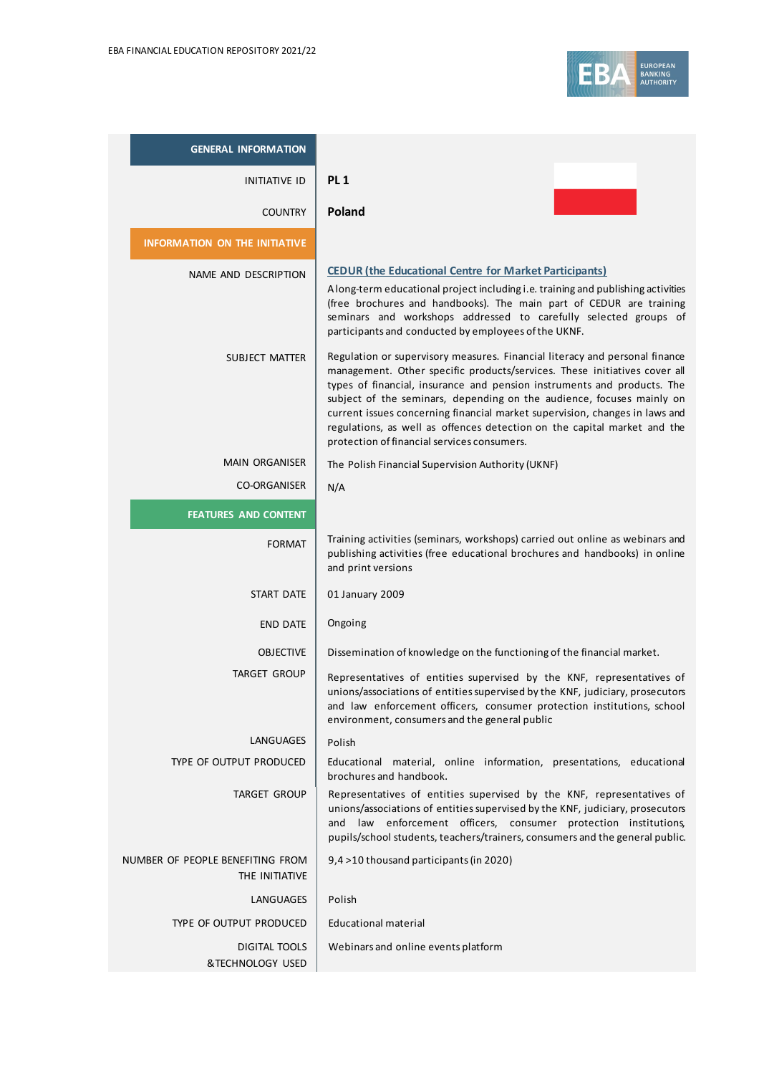

| <b>GENERAL INFORMATION</b>                         |                                                                                                                                                                                                                                                                                                                                                                                                                                                                                                                        |
|----------------------------------------------------|------------------------------------------------------------------------------------------------------------------------------------------------------------------------------------------------------------------------------------------------------------------------------------------------------------------------------------------------------------------------------------------------------------------------------------------------------------------------------------------------------------------------|
| <b>INITIATIVE ID</b>                               | PL <sub>1</sub>                                                                                                                                                                                                                                                                                                                                                                                                                                                                                                        |
| <b>COUNTRY</b>                                     | Poland                                                                                                                                                                                                                                                                                                                                                                                                                                                                                                                 |
| <b>INFORMATION ON THE INITIATIVE</b>               |                                                                                                                                                                                                                                                                                                                                                                                                                                                                                                                        |
| NAME AND DESCRIPTION                               | <b>CEDUR (the Educational Centre for Market Participants)</b><br>A long-term educational project including i.e. training and publishing activities<br>(free brochures and handbooks). The main part of CEDUR are training<br>seminars and workshops addressed to carefully selected groups of<br>participants and conducted by employees of the UKNF.                                                                                                                                                                  |
| SUBJECT MATTER                                     | Regulation or supervisory measures. Financial literacy and personal finance<br>management. Other specific products/services. These initiatives cover all<br>types of financial, insurance and pension instruments and products. The<br>subject of the seminars, depending on the audience, focuses mainly on<br>current issues concerning financial market supervision, changes in laws and<br>regulations, as well as offences detection on the capital market and the<br>protection of financial services consumers. |
| <b>MAIN ORGANISER</b>                              | The Polish Financial Supervision Authority (UKNF)                                                                                                                                                                                                                                                                                                                                                                                                                                                                      |
| <b>CO-ORGANISER</b>                                | N/A                                                                                                                                                                                                                                                                                                                                                                                                                                                                                                                    |
| <b>FEATURES AND CONTENT</b>                        |                                                                                                                                                                                                                                                                                                                                                                                                                                                                                                                        |
| <b>FORMAT</b>                                      | Training activities (seminars, workshops) carried out online as webinars and<br>publishing activities (free educational brochures and handbooks) in online<br>and print versions                                                                                                                                                                                                                                                                                                                                       |
| START DATE                                         | 01 January 2009                                                                                                                                                                                                                                                                                                                                                                                                                                                                                                        |
| <b>END DATE</b>                                    | Ongoing                                                                                                                                                                                                                                                                                                                                                                                                                                                                                                                |
| <b>OBJECTIVE</b>                                   | Dissemination of knowledge on the functioning of the financial market.                                                                                                                                                                                                                                                                                                                                                                                                                                                 |
| <b>TARGET GROUP</b>                                | Representatives of entities supervised by the KNF, representatives of<br>unions/associations of entities supervised by the KNF, judiciary, prosecutors<br>and law enforcement officers, consumer protection institutions, school<br>environment, consumers and the general public                                                                                                                                                                                                                                      |
| LANGUAGES                                          | Polish                                                                                                                                                                                                                                                                                                                                                                                                                                                                                                                 |
| TYPE OF OUTPUT PRODUCED                            | Educational material, online information, presentations, educational<br>brochures and handbook.                                                                                                                                                                                                                                                                                                                                                                                                                        |
| <b>TARGET GROUP</b>                                | Representatives of entities supervised by the KNF, representatives of<br>unions/associations of entities supervised by the KNF, judiciary, prosecutors<br>and law enforcement officers, consumer protection institutions,<br>pupils/school students, teachers/trainers, consumers and the general public.                                                                                                                                                                                                              |
| NUMBER OF PEOPLE BENEFITING FROM<br>THE INITIATIVE | 9,4 > 10 thousand participants (in 2020)                                                                                                                                                                                                                                                                                                                                                                                                                                                                               |
| LANGUAGES                                          | Polish                                                                                                                                                                                                                                                                                                                                                                                                                                                                                                                 |
| TYPE OF OUTPUT PRODUCED                            | <b>Educational material</b>                                                                                                                                                                                                                                                                                                                                                                                                                                                                                            |
| DIGITAL TOOLS<br>&TECHNOLOGY USED                  | Webinars and online events platform                                                                                                                                                                                                                                                                                                                                                                                                                                                                                    |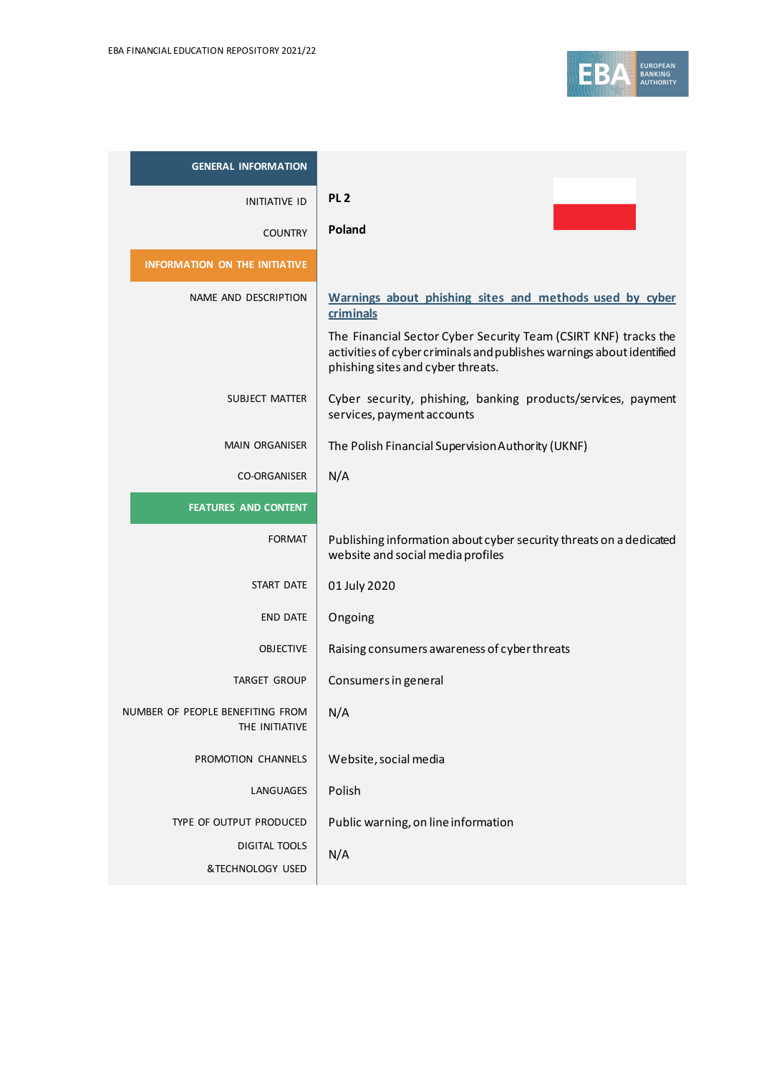

| <b>GENERAL INFORMATION</b>                         |                                                                                                                                                                               |
|----------------------------------------------------|-------------------------------------------------------------------------------------------------------------------------------------------------------------------------------|
| <b>INITIATIVE ID</b>                               | PL <sub>2</sub>                                                                                                                                                               |
| <b>COUNTRY</b>                                     | Poland                                                                                                                                                                        |
| <b>INFORMATION ON THE INITIATIVE</b>               |                                                                                                                                                                               |
| NAME AND DESCRIPTION                               | Warnings about phishing sites and methods used by cyber<br>criminals                                                                                                          |
|                                                    | The Financial Sector Cyber Security Team (CSIRT KNF) tracks the<br>activities of cyber criminals and publishes warnings about identified<br>phishing sites and cyber threats. |
| <b>SUBJECT MATTER</b>                              | Cyber security, phishing, banking products/services, payment<br>services, payment accounts                                                                                    |
| <b>MAIN ORGANISER</b>                              | The Polish Financial Supervision Authority (UKNF)                                                                                                                             |
| <b>CO-ORGANISER</b>                                | N/A                                                                                                                                                                           |
| <b>FEATURES AND CONTENT</b>                        |                                                                                                                                                                               |
| <b>FORMAT</b>                                      | Publishing information about cyber security threats on a dedicated<br>website and social media profiles                                                                       |
| START DATE                                         | 01 July 2020                                                                                                                                                                  |
| <b>END DATE</b>                                    | Ongoing                                                                                                                                                                       |
| <b>OBJECTIVE</b>                                   | Raising consumers awareness of cyber threats                                                                                                                                  |
| <b>TARGET GROUP</b>                                | Consumers in general                                                                                                                                                          |
| NUMBER OF PEOPLE BENEFITING FROM<br>THE INITIATIVE | N/A                                                                                                                                                                           |
| PROMOTION CHANNELS                                 | Website, social media                                                                                                                                                         |
| LANGUAGES                                          | Polish                                                                                                                                                                        |
| TYPE OF OUTPUT PRODUCED                            | Public warning, on line information                                                                                                                                           |
| <b>DIGITAL TOOLS</b>                               | N/A                                                                                                                                                                           |
| &TECHNOLOGY USED                                   |                                                                                                                                                                               |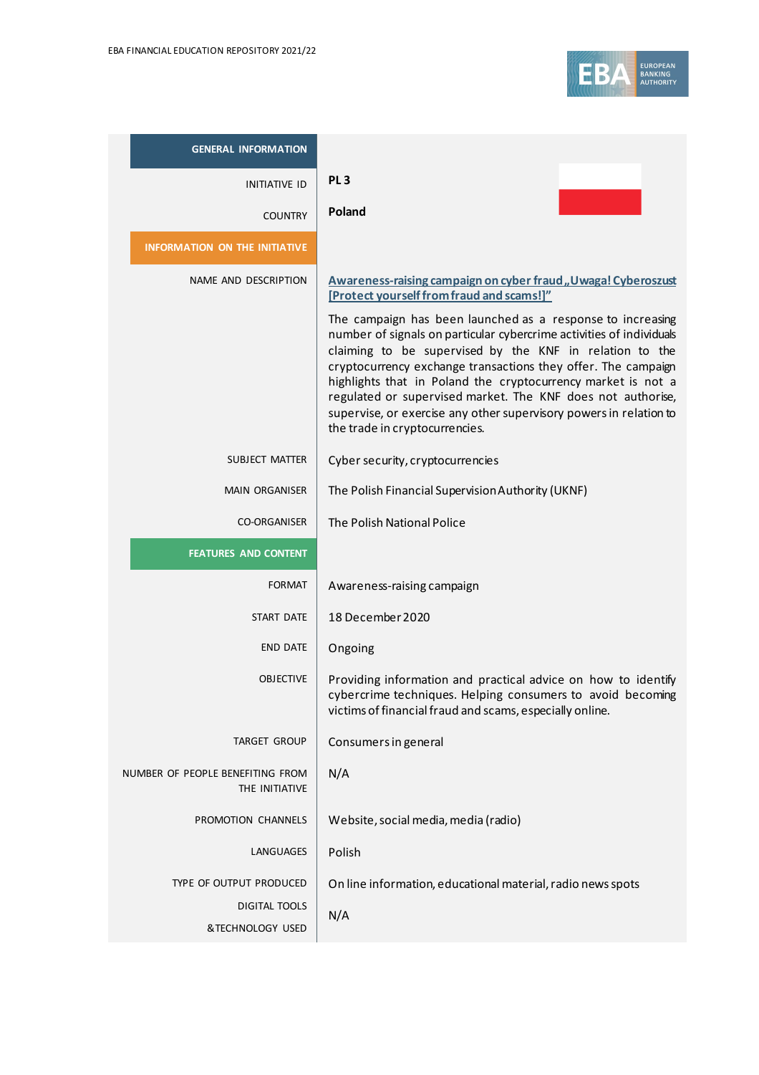

| <b>GENERAL INFORMATION</b>                         |                                                                                                                                                                                                                                                                                                                                                                                                                                                                                                                                                                                   |
|----------------------------------------------------|-----------------------------------------------------------------------------------------------------------------------------------------------------------------------------------------------------------------------------------------------------------------------------------------------------------------------------------------------------------------------------------------------------------------------------------------------------------------------------------------------------------------------------------------------------------------------------------|
| <b>INITIATIVE ID</b>                               | PL <sub>3</sub>                                                                                                                                                                                                                                                                                                                                                                                                                                                                                                                                                                   |
| <b>COUNTRY</b>                                     | Poland                                                                                                                                                                                                                                                                                                                                                                                                                                                                                                                                                                            |
| <b>INFORMATION ON THE INITIATIVE</b>               |                                                                                                                                                                                                                                                                                                                                                                                                                                                                                                                                                                                   |
| NAME AND DESCRIPTION                               | Awareness-raising campaign on cyber fraud, Uwaga! Cyberoszust<br>[Protect yourself from fraud and scams!]"<br>The campaign has been launched as a response to increasing<br>number of signals on particular cybercrime activities of individuals<br>claiming to be supervised by the KNF in relation to the<br>cryptocurrency exchange transactions they offer. The campaign<br>highlights that in Poland the cryptocurrency market is not a<br>regulated or supervised market. The KNF does not authorise,<br>supervise, or exercise any other supervisory powers in relation to |
|                                                    | the trade in cryptocurrencies.                                                                                                                                                                                                                                                                                                                                                                                                                                                                                                                                                    |
| <b>SUBJECT MATTER</b>                              | Cyber security, cryptocurrencies                                                                                                                                                                                                                                                                                                                                                                                                                                                                                                                                                  |
| <b>MAIN ORGANISER</b>                              | The Polish Financial Supervision Authority (UKNF)                                                                                                                                                                                                                                                                                                                                                                                                                                                                                                                                 |
| <b>CO-ORGANISER</b>                                | The Polish National Police                                                                                                                                                                                                                                                                                                                                                                                                                                                                                                                                                        |
| <b>FEATURES AND CONTENT</b>                        |                                                                                                                                                                                                                                                                                                                                                                                                                                                                                                                                                                                   |
| <b>FORMAT</b>                                      | Awareness-raising campaign                                                                                                                                                                                                                                                                                                                                                                                                                                                                                                                                                        |
| START DATE                                         | 18 December 2020                                                                                                                                                                                                                                                                                                                                                                                                                                                                                                                                                                  |
| <b>END DATE</b>                                    | Ongoing                                                                                                                                                                                                                                                                                                                                                                                                                                                                                                                                                                           |
| <b>OBJECTIVE</b>                                   | Providing information and practical advice on how to identify<br>cybercrime techniques. Helping consumers to avoid becoming<br>victims of financial fraud and scams, especially online.                                                                                                                                                                                                                                                                                                                                                                                           |
| <b>TARGET GROUP</b>                                | Consumers in general                                                                                                                                                                                                                                                                                                                                                                                                                                                                                                                                                              |
| NUMBER OF PEOPLE BENEFITING FROM<br>THE INITIATIVE | N/A                                                                                                                                                                                                                                                                                                                                                                                                                                                                                                                                                                               |
| PROMOTION CHANNELS                                 | Website, social media, media (radio)                                                                                                                                                                                                                                                                                                                                                                                                                                                                                                                                              |
| LANGUAGES                                          | Polish                                                                                                                                                                                                                                                                                                                                                                                                                                                                                                                                                                            |
| TYPE OF OUTPUT PRODUCED                            | On line information, educational material, radio news spots                                                                                                                                                                                                                                                                                                                                                                                                                                                                                                                       |
| <b>DIGITAL TOOLS</b>                               | N/A                                                                                                                                                                                                                                                                                                                                                                                                                                                                                                                                                                               |
| &TECHNOLOGY USED                                   |                                                                                                                                                                                                                                                                                                                                                                                                                                                                                                                                                                                   |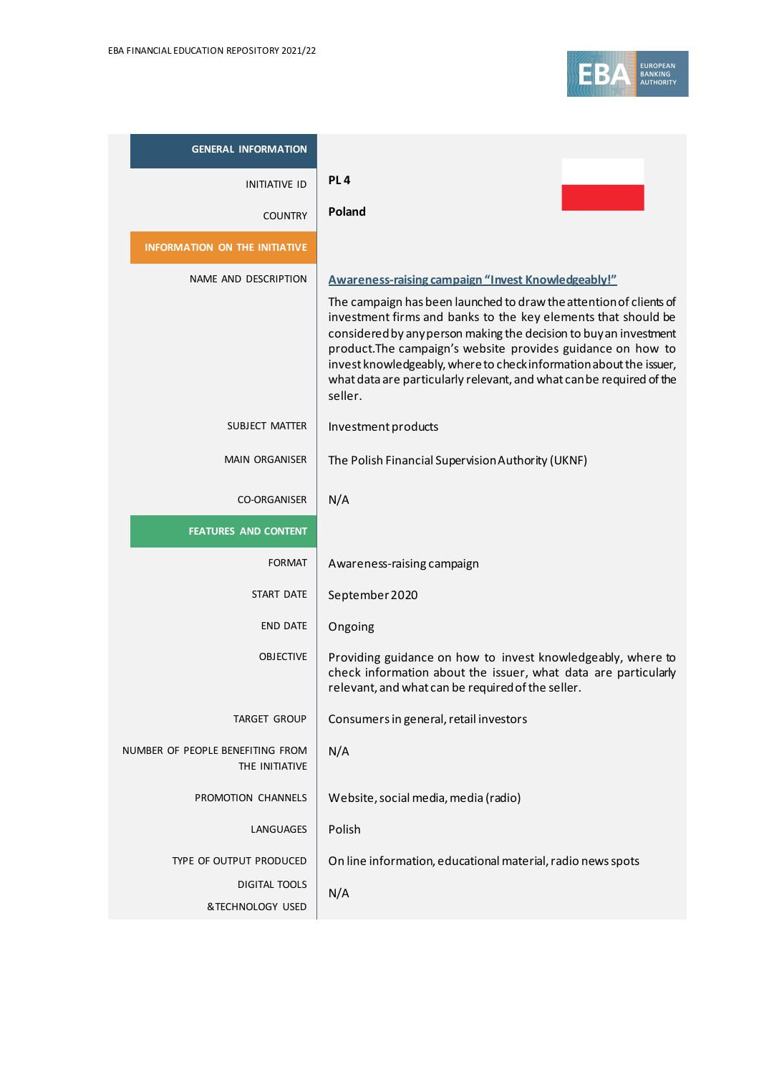

| <b>GENERAL INFORMATION</b>                         |                                                                                                                                                                                                                                                                                                                                                                                                                                                                                        |
|----------------------------------------------------|----------------------------------------------------------------------------------------------------------------------------------------------------------------------------------------------------------------------------------------------------------------------------------------------------------------------------------------------------------------------------------------------------------------------------------------------------------------------------------------|
| <b>INITIATIVE ID</b>                               | PL <sub>4</sub>                                                                                                                                                                                                                                                                                                                                                                                                                                                                        |
| <b>COUNTRY</b>                                     | Poland                                                                                                                                                                                                                                                                                                                                                                                                                                                                                 |
| <b>INFORMATION ON THE INITIATIVE</b>               |                                                                                                                                                                                                                                                                                                                                                                                                                                                                                        |
| NAME AND DESCRIPTION                               | Awareness-raising campaign "Invest Knowledgeably!"<br>The campaign has been launched to draw the attention of clients of<br>investment firms and banks to the key elements that should be<br>considered by any person making the decision to buy an investment<br>product. The campaign's website provides guidance on how to<br>invest knowledgeably, where to check information about the issuer,<br>what data are particularly relevant, and what can be required of the<br>seller. |
| <b>SUBJECT MATTER</b>                              | Investment products                                                                                                                                                                                                                                                                                                                                                                                                                                                                    |
| <b>MAIN ORGANISER</b>                              | The Polish Financial Supervision Authority (UKNF)                                                                                                                                                                                                                                                                                                                                                                                                                                      |
| <b>CO-ORGANISER</b>                                | N/A                                                                                                                                                                                                                                                                                                                                                                                                                                                                                    |
| <b>FEATURES AND CONTENT</b>                        |                                                                                                                                                                                                                                                                                                                                                                                                                                                                                        |
| <b>FORMAT</b>                                      | Awareness-raising campaign                                                                                                                                                                                                                                                                                                                                                                                                                                                             |
| START DATE                                         | September 2020                                                                                                                                                                                                                                                                                                                                                                                                                                                                         |
| <b>END DATE</b>                                    | Ongoing                                                                                                                                                                                                                                                                                                                                                                                                                                                                                |
| <b>OBJECTIVE</b>                                   | Providing guidance on how to invest knowledgeably, where to<br>check information about the issuer, what data are particularly<br>relevant, and what can be required of the seller.                                                                                                                                                                                                                                                                                                     |
| <b>TARGET GROUP</b>                                | Consumers in general, retail investors                                                                                                                                                                                                                                                                                                                                                                                                                                                 |
| NUMBER OF PEOPLE BENEFITING FROM<br>THE INITIATIVE | N/A                                                                                                                                                                                                                                                                                                                                                                                                                                                                                    |
| PROMOTION CHANNELS                                 | Website, social media, media (radio)                                                                                                                                                                                                                                                                                                                                                                                                                                                   |
| LANGUAGES                                          | Polish                                                                                                                                                                                                                                                                                                                                                                                                                                                                                 |
| TYPE OF OUTPUT PRODUCED                            | On line information, educational material, radio news spots                                                                                                                                                                                                                                                                                                                                                                                                                            |
| DIGITAL TOOLS                                      | N/A                                                                                                                                                                                                                                                                                                                                                                                                                                                                                    |
| &TECHNOLOGY USED                                   |                                                                                                                                                                                                                                                                                                                                                                                                                                                                                        |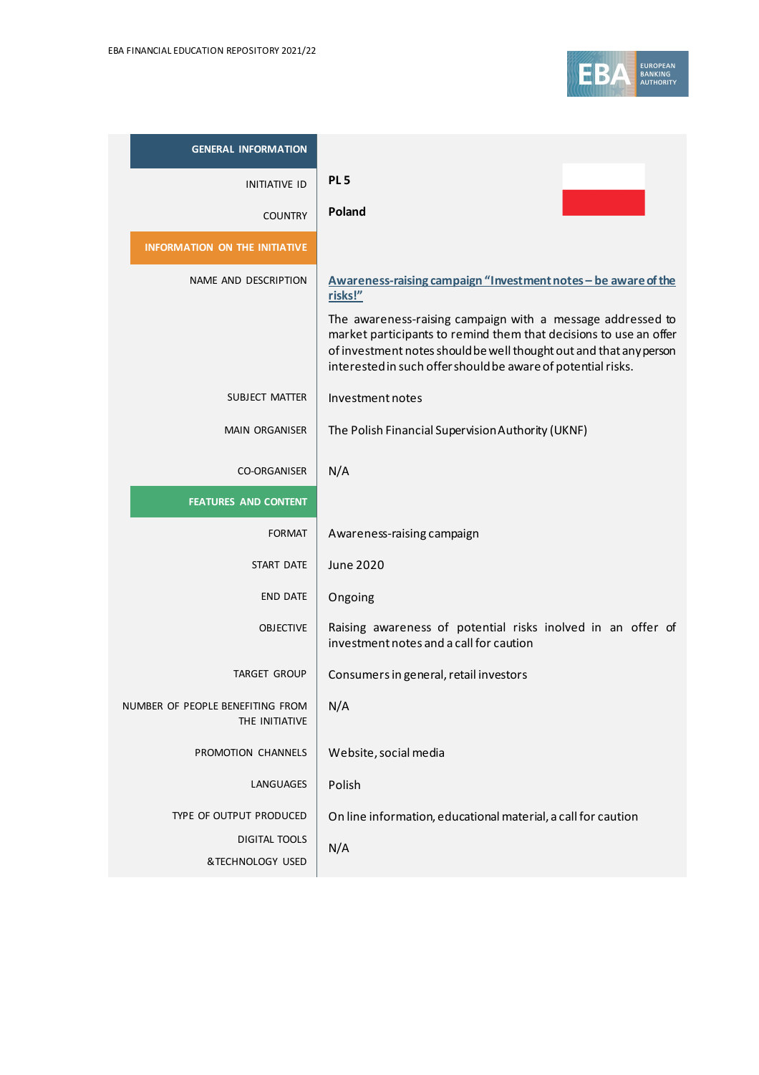

| <b>GENERAL INFORMATION</b>                         |                                                                                                                                                                                                                                                                                                                                                    |
|----------------------------------------------------|----------------------------------------------------------------------------------------------------------------------------------------------------------------------------------------------------------------------------------------------------------------------------------------------------------------------------------------------------|
| <b>INITIATIVE ID</b>                               | PL <sub>5</sub>                                                                                                                                                                                                                                                                                                                                    |
| <b>COUNTRY</b>                                     | Poland                                                                                                                                                                                                                                                                                                                                             |
| <b>INFORMATION ON THE INITIATIVE</b>               |                                                                                                                                                                                                                                                                                                                                                    |
| NAME AND DESCRIPTION                               | Awareness-raising campaign "Investment notes - be aware of the<br>risks!"<br>The awareness-raising campaign with a message addressed to<br>market participants to remind them that decisions to use an offer<br>of investment notes should be well thought out and that any person<br>interested in such offer should be aware of potential risks. |
| SUBJECT MATTER                                     | Investment notes                                                                                                                                                                                                                                                                                                                                   |
| <b>MAIN ORGANISER</b>                              | The Polish Financial Supervision Authority (UKNF)                                                                                                                                                                                                                                                                                                  |
| <b>CO-ORGANISER</b>                                | N/A                                                                                                                                                                                                                                                                                                                                                |
| <b>FEATURES AND CONTENT</b>                        |                                                                                                                                                                                                                                                                                                                                                    |
| <b>FORMAT</b>                                      | Awareness-raising campaign                                                                                                                                                                                                                                                                                                                         |
| START DATE                                         | <b>June 2020</b>                                                                                                                                                                                                                                                                                                                                   |
| <b>END DATE</b>                                    | Ongoing                                                                                                                                                                                                                                                                                                                                            |
| <b>OBJECTIVE</b>                                   | Raising awareness of potential risks inolved in an offer of<br>investment notes and a call for caution                                                                                                                                                                                                                                             |
| <b>TARGET GROUP</b>                                | Consumers in general, retail investors                                                                                                                                                                                                                                                                                                             |
| NUMBER OF PEOPLE BENEFITING FROM<br>THE INITIATIVE | N/A                                                                                                                                                                                                                                                                                                                                                |
| PROMOTION CHANNELS                                 | Website, social media                                                                                                                                                                                                                                                                                                                              |
| LANGUAGES                                          | Polish                                                                                                                                                                                                                                                                                                                                             |
| TYPE OF OUTPUT PRODUCED                            | On line information, educational material, a call for caution                                                                                                                                                                                                                                                                                      |
| <b>DIGITAL TOOLS</b>                               | N/A                                                                                                                                                                                                                                                                                                                                                |
| &TECHNOLOGY USED                                   |                                                                                                                                                                                                                                                                                                                                                    |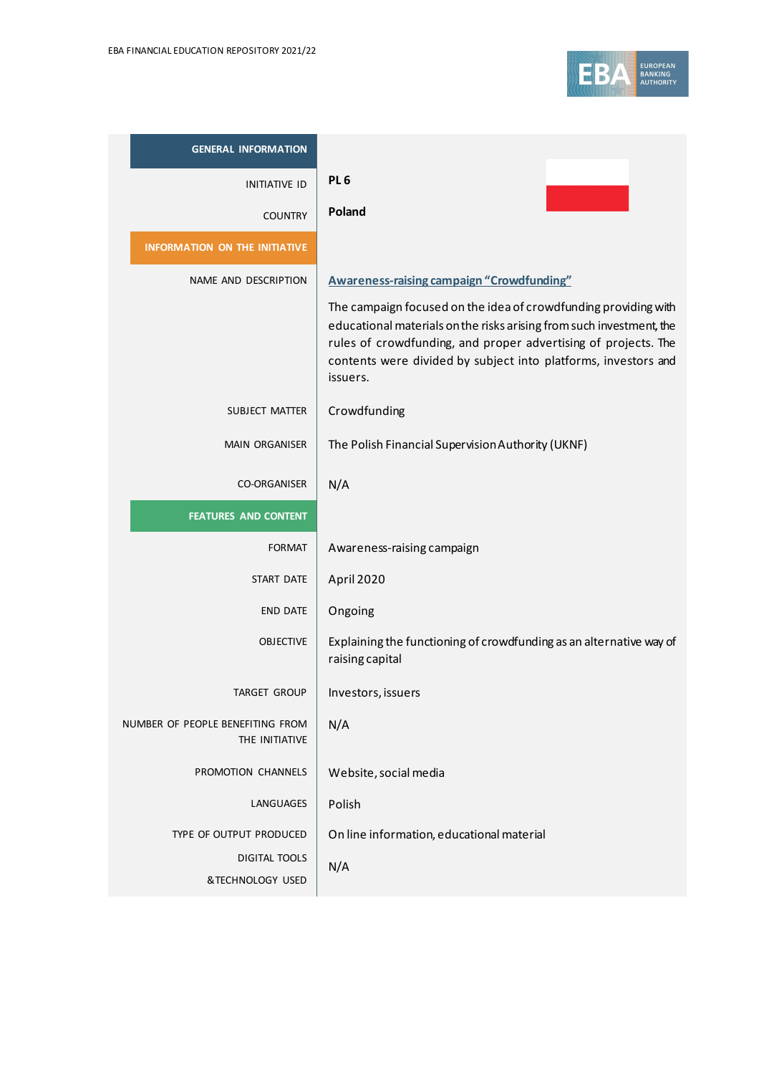

| <b>GENERAL INFORMATION</b>                         |                                                                                                                                                                                                                                                                                         |
|----------------------------------------------------|-----------------------------------------------------------------------------------------------------------------------------------------------------------------------------------------------------------------------------------------------------------------------------------------|
| <b>INITIATIVE ID</b>                               | PL <sub>6</sub>                                                                                                                                                                                                                                                                         |
| <b>COUNTRY</b>                                     | Poland                                                                                                                                                                                                                                                                                  |
| <b>INFORMATION ON THE INITIATIVE</b>               |                                                                                                                                                                                                                                                                                         |
| NAME AND DESCRIPTION                               | <b>Awareness-raising campaign "Crowdfunding"</b>                                                                                                                                                                                                                                        |
|                                                    | The campaign focused on the idea of crowdfunding providing with<br>educational materials on the risks arising from such investment, the<br>rules of crowdfunding, and proper advertising of projects. The<br>contents were divided by subject into platforms, investors and<br>issuers. |
| SUBJECT MATTER                                     | Crowdfunding                                                                                                                                                                                                                                                                            |
| <b>MAIN ORGANISER</b>                              | The Polish Financial Supervision Authority (UKNF)                                                                                                                                                                                                                                       |
| <b>CO-ORGANISER</b>                                | N/A                                                                                                                                                                                                                                                                                     |
| <b>FEATURES AND CONTENT</b>                        |                                                                                                                                                                                                                                                                                         |
| <b>FORMAT</b>                                      | Awareness-raising campaign                                                                                                                                                                                                                                                              |
| <b>START DATE</b>                                  | April 2020                                                                                                                                                                                                                                                                              |
| <b>END DATE</b>                                    | Ongoing                                                                                                                                                                                                                                                                                 |
| <b>OBJECTIVE</b>                                   | Explaining the functioning of crowdfunding as an alternative way of<br>raising capital                                                                                                                                                                                                  |
| <b>TARGET GROUP</b>                                | Investors, issuers                                                                                                                                                                                                                                                                      |
| NUMBER OF PEOPLE BENEFITING FROM<br>THE INITIATIVE | N/A                                                                                                                                                                                                                                                                                     |
| PROMOTION CHANNELS                                 | Website, social media                                                                                                                                                                                                                                                                   |
| LANGUAGES                                          | Polish                                                                                                                                                                                                                                                                                  |
| TYPE OF OUTPUT PRODUCED                            | On line information, educational material                                                                                                                                                                                                                                               |
| <b>DIGITAL TOOLS</b>                               | N/A                                                                                                                                                                                                                                                                                     |
| &TECHNOLOGY USED                                   |                                                                                                                                                                                                                                                                                         |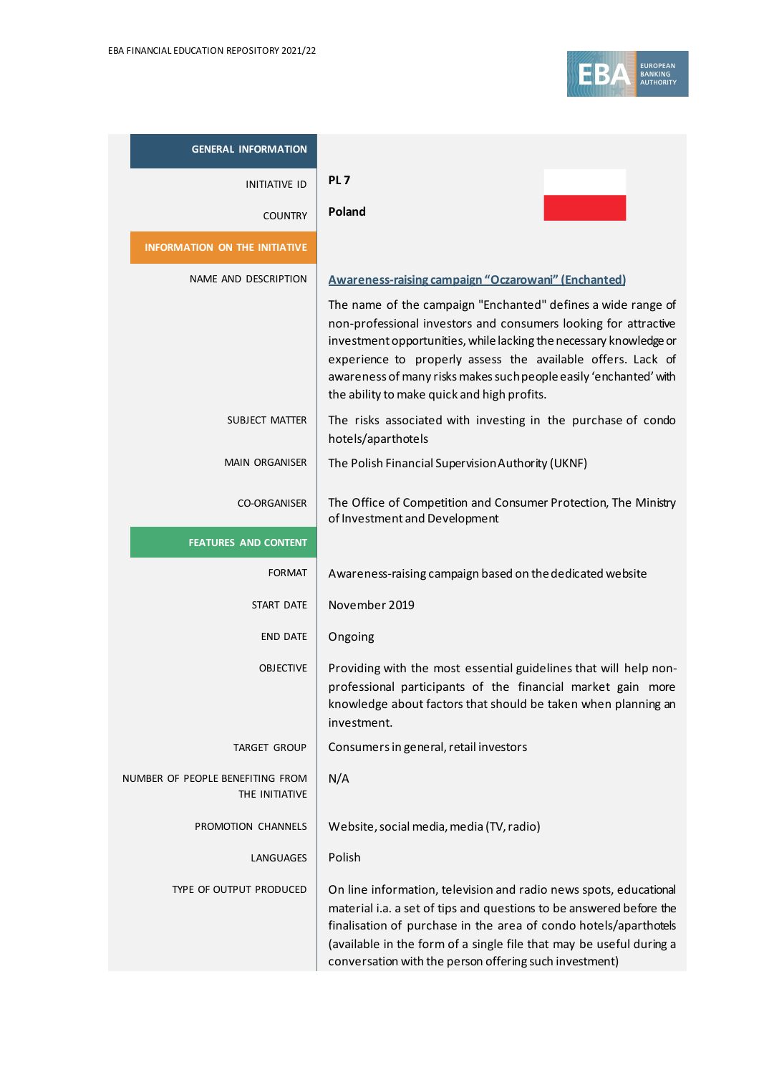

| <b>GENERAL INFORMATION</b>                         |                                                                                                                                                                                                                                                                                                                                                                                          |
|----------------------------------------------------|------------------------------------------------------------------------------------------------------------------------------------------------------------------------------------------------------------------------------------------------------------------------------------------------------------------------------------------------------------------------------------------|
| <b>INITIATIVE ID</b>                               | PL <sub>7</sub>                                                                                                                                                                                                                                                                                                                                                                          |
| <b>COUNTRY</b>                                     | Poland                                                                                                                                                                                                                                                                                                                                                                                   |
| <b>INFORMATION ON THE INITIATIVE</b>               |                                                                                                                                                                                                                                                                                                                                                                                          |
| NAME AND DESCRIPTION                               | <b>Awareness-raising campaign "Oczarowani" (Enchanted)</b>                                                                                                                                                                                                                                                                                                                               |
|                                                    | The name of the campaign "Enchanted" defines a wide range of<br>non-professional investors and consumers looking for attractive<br>investment opportunities, while lacking the necessary knowledge or<br>experience to properly assess the available offers. Lack of<br>awareness of many risks makes such people easily 'enchanted' with<br>the ability to make quick and high profits. |
| SUBJECT MATTER                                     | The risks associated with investing in the purchase of condo<br>hotels/aparthotels                                                                                                                                                                                                                                                                                                       |
| <b>MAIN ORGANISER</b>                              | The Polish Financial Supervision Authority (UKNF)                                                                                                                                                                                                                                                                                                                                        |
| <b>CO-ORGANISER</b>                                | The Office of Competition and Consumer Protection, The Ministry<br>of Investment and Development                                                                                                                                                                                                                                                                                         |
| <b>FEATURES AND CONTENT</b>                        |                                                                                                                                                                                                                                                                                                                                                                                          |
| <b>FORMAT</b>                                      | Awareness-raising campaign based on the dedicated website                                                                                                                                                                                                                                                                                                                                |
| <b>START DATE</b>                                  | November 2019                                                                                                                                                                                                                                                                                                                                                                            |
| <b>END DATE</b>                                    | Ongoing                                                                                                                                                                                                                                                                                                                                                                                  |
| <b>OBJECTIVE</b>                                   | Providing with the most essential guidelines that will help non-<br>professional participants of the financial market gain more<br>knowledge about factors that should be taken when planning an<br>investment.                                                                                                                                                                          |
| TARGET GROUP                                       | Consumers in general, retail investors                                                                                                                                                                                                                                                                                                                                                   |
| NUMBER OF PEOPLE BENEFITING FROM<br>THE INITIATIVE | N/A                                                                                                                                                                                                                                                                                                                                                                                      |
| PROMOTION CHANNELS                                 | Website, social media, media (TV, radio)                                                                                                                                                                                                                                                                                                                                                 |
| LANGUAGES                                          | Polish                                                                                                                                                                                                                                                                                                                                                                                   |
| TYPE OF OUTPUT PRODUCED                            | On line information, television and radio news spots, educational<br>material i.a. a set of tips and questions to be answered before the<br>finalisation of purchase in the area of condo hotels/aparthotels<br>(available in the form of a single file that may be useful during a<br>conversation with the person offering such investment)                                            |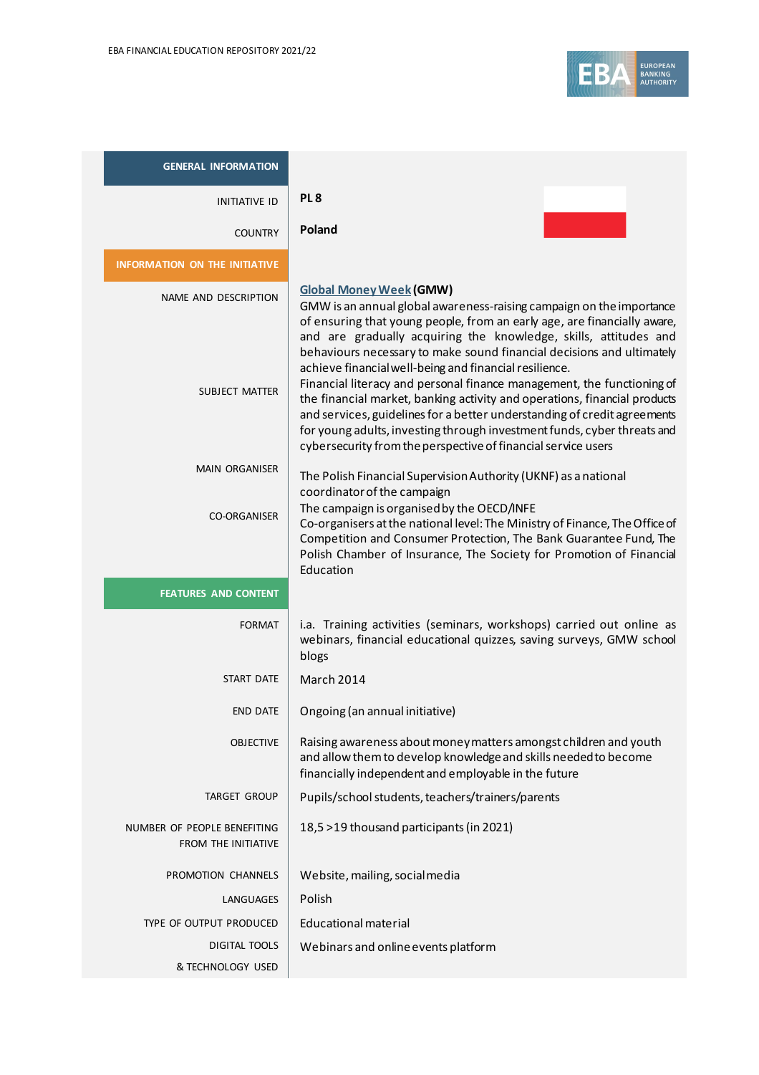

| <b>GENERAL INFORMATION</b>                         |                                                                                                                                                                                                                                                                                                                                                                                           |
|----------------------------------------------------|-------------------------------------------------------------------------------------------------------------------------------------------------------------------------------------------------------------------------------------------------------------------------------------------------------------------------------------------------------------------------------------------|
| <b>INITIATIVE ID</b>                               | PL <sub>8</sub>                                                                                                                                                                                                                                                                                                                                                                           |
| <b>COUNTRY</b>                                     | Poland                                                                                                                                                                                                                                                                                                                                                                                    |
| <b>INFORMATION ON THE INITIATIVE</b>               |                                                                                                                                                                                                                                                                                                                                                                                           |
| NAME AND DESCRIPTION                               | <b>Global Money Week (GMW)</b><br>GMW is an annual global awareness-raising campaign on the importance<br>of ensuring that young people, from an early age, are financially aware,<br>and are gradually acquiring the knowledge, skills, attitudes and<br>behaviours necessary to make sound financial decisions and ultimately<br>achieve financial well-being and financial resilience. |
| <b>SUBJECT MATTER</b>                              | Financial literacy and personal finance management, the functioning of<br>the financial market, banking activity and operations, financial products<br>and services, guidelines for a better understanding of credit agreements<br>for young adults, investing through investment funds, cyber threats and<br>cybersecurity from the perspective of financial service users               |
| <b>MAIN ORGANISER</b>                              | The Polish Financial Supervision Authority (UKNF) as a national<br>coordinator of the campaign                                                                                                                                                                                                                                                                                            |
| <b>CO-ORGANISER</b>                                | The campaign is organised by the OECD/INFE<br>Co-organisers at the national level: The Ministry of Finance, The Office of<br>Competition and Consumer Protection, The Bank Guarantee Fund, The<br>Polish Chamber of Insurance, The Society for Promotion of Financial<br>Education                                                                                                        |
| <b>FEATURES AND CONTENT</b>                        |                                                                                                                                                                                                                                                                                                                                                                                           |
| <b>FORMAT</b>                                      | i.a. Training activities (seminars, workshops) carried out online as<br>webinars, financial educational quizzes, saving surveys, GMW school<br>blogs                                                                                                                                                                                                                                      |
| START DATE                                         | March 2014                                                                                                                                                                                                                                                                                                                                                                                |
| <b>END DATE</b>                                    | Ongoing (an annual initiative)                                                                                                                                                                                                                                                                                                                                                            |
| <b>OBJECTIVE</b>                                   | Raising awareness about money matters amongst children and youth<br>and allow them to develop knowledge and skills needed to become<br>financially independent and employable in the future                                                                                                                                                                                               |
| <b>TARGET GROUP</b>                                | Pupils/school students, teachers/trainers/parents                                                                                                                                                                                                                                                                                                                                         |
| NUMBER OF PEOPLE BENEFITING<br>FROM THE INITIATIVE | 18,5 > 19 thousand participants (in 2021)                                                                                                                                                                                                                                                                                                                                                 |
| PROMOTION CHANNELS                                 | Website, mailing, social media                                                                                                                                                                                                                                                                                                                                                            |
| LANGUAGES                                          | Polish                                                                                                                                                                                                                                                                                                                                                                                    |
| TYPE OF OUTPUT PRODUCED                            | <b>Educational material</b>                                                                                                                                                                                                                                                                                                                                                               |
| DIGITAL TOOLS<br>& TECHNOLOGY USED                 | Webinars and online events platform                                                                                                                                                                                                                                                                                                                                                       |